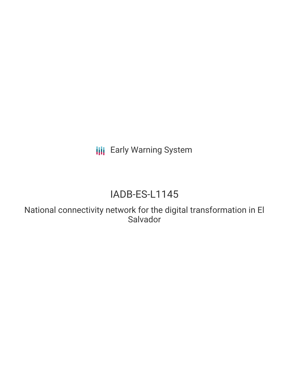**III** Early Warning System

# IADB-ES-L1145

National connectivity network for the digital transformation in El Salvador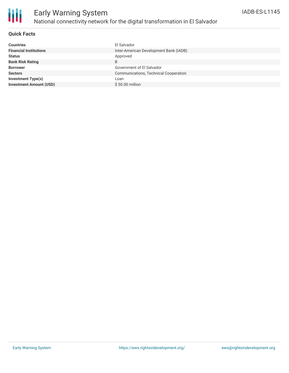

### **Quick Facts**

| <b>Countries</b>               | El Salvador                            |
|--------------------------------|----------------------------------------|
| <b>Financial Institutions</b>  | Inter-American Development Bank (IADB) |
| <b>Status</b>                  | Approved                               |
| <b>Bank Risk Rating</b>        | B                                      |
| <b>Borrower</b>                | Government of El Salvador              |
| <b>Sectors</b>                 | Communications, Technical Cooperation  |
| <b>Investment Type(s)</b>      | Loan                                   |
| <b>Investment Amount (USD)</b> | \$50.00 million                        |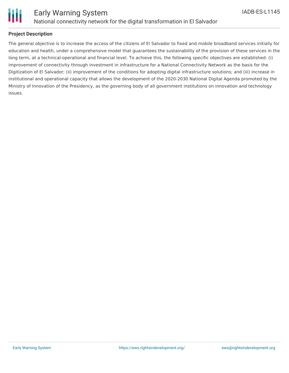

# **Project Description**

The general objective is to increase the access of the citizens of El Salvador to fixed and mobile broadband services initially for education and health, under a comprehensive model that guarantees the sustainability of the provision of these services in the long term, at a technical-operational and financial level. To achieve this, the following specific objectives are established: (i) improvement of connectivity through investment in infrastructure for a National Connectivity Network as the basis for the Digitization of El Salvador; (ii) improvement of the conditions for adopting digital infrastructure solutions; and (iii) increase in institutional and operational capacity that allows the development of the 2020-2030 National Digital Agenda promoted by the Ministry of Innovation of the Presidency, as the governing body of all government institutions on innovation and technology issues.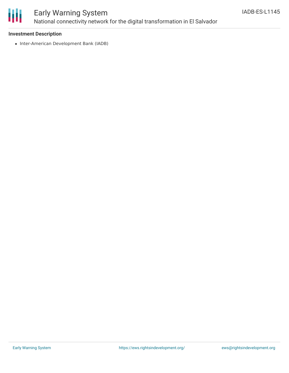

# Early Warning System National connectivity network for the digital transformation in El Salvador

### **Investment Description**

• Inter-American Development Bank (IADB)